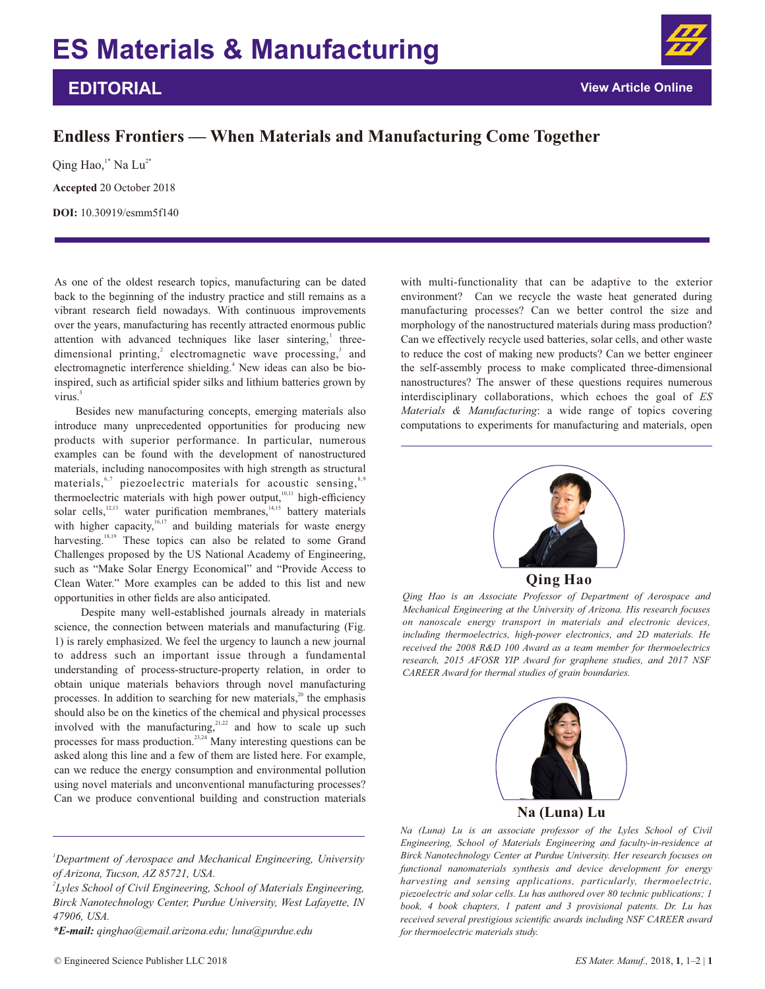## **EDITORIAL**

## **Endless Frontiers — When Materials and Manufacturing Come Together**

**Accepted** 20 October 2018 **DOI:** 10.30919/esmm5f140 Qing Hao,<sup>1\*</sup> Na Lu<sup>2\*</sup>

As one of the oldest research topics, manufacturing can be dated back to the beginning of the industry practice and still remains as a vibrant research field nowadays. With continuous improvements over the years, manufacturing has recently attracted enormous public attention with advanced techniques like laser sintering,<sup>1</sup> threedimensional printing,<sup>2</sup> electromagnetic wave processing,<sup>3</sup> and electromagnetic interference shielding.<sup>4</sup> New ideas can also be bioinspired, such as artificial spider silks and lithium batteries grown by virus.<sup>5</sup>

Besides new manufacturing concepts, emerging materials also introduce many unprecedented opportunities for producing new products with superior performance. In particular, numerous examples can be found with the development of nanostructured materials, including nanocomposites with high strength as structural materials,  $6,7$  piezoelectric materials for acoustic sensing,  $8,9$ thermoelectric materials with high power output,  $\frac{10,11}{10,11}$  high-efficiency solar cells,  $\frac{12,13}{12}$  water purification membranes,  $\frac{14,15}{12}$  battery materials with higher capacity,  $\frac{16,17}{2}$  and building materials for waste energy harvesting.  $18,19$  These topics can also be related to some Grand Challenges proposed by the US National Academy of Engineering, such as "Make Solar Energy Economical" and "Provide Access to Clean Water." More examples can be added to this list and new opportunities in other fields are also anticipated.

 Despite many well-established journals already in materials science, the connection between materials and manufacturing (Fig. 1) is rarely emphasized. We feel the urgency to launch a new journal to address such an important issue through a fundamental understanding of process-structure-property relation, in order to obtain unique materials behaviors through novel manufacturing processes. In addition to searching for new materials, $2^{\circ}$  the emphasis should also be on the kinetics of the chemical and physical processes involved with the manufacturing, $21,22$  and how to scale up such processes for mass production. $^{23,24}$  Many interesting questions can be asked along this line and a few of them are listed here. For example, can we reduce the energy consumption and environmental pollution using novel materials and unconventional manufacturing processes? Can we produce conventional building and construction materials

*\*E-mail: qinghao@email.arizona.edu; luna@purdue.edu*

with multi-functionality that can be adaptive to the exterior environment? Can we recycle the waste heat generated during manufacturing processes? Can we better control the size and morphology of the nanostructured materials during mass production? Can we effectively recycle used batteries, solar cells, and other waste to reduce the cost of making new products? Can we better engineer the self-assembly process to make complicated three-dimensional nanostructures? The answer of these questions requires numerous interdisciplinary collaborations, which echoes the goal of *ES Materials & Manufacturing*: a wide range of topics covering computations to experiments for manufacturing and materials, open



**Qing Hao**

*Qing Hao is an Associate Professor of Department of Aerospace and Mechanical Engineering at the University of Arizona. His research focuses on nanoscale energy transport in materials and electronic devices, including thermoelectrics, high-power electronics, and 2D materials. He received the 2008 R&D 100 Award as a team member for thermoelectrics research, 2015 AFOSR YIP Award for graphene studies, and 2017 NSF CAREER Award for thermal studies of grain boundaries.*



**Na (Luna) Lu**

*Na (Luna) Lu is an associate professor of the Lyles School of Civil Engineering, School of Materials Engineering and faculty-in-residence at Birck Nanotechnology Center at Purdue University. Her research focuses on functional nanomaterials synthesis and device development for energy harvesting and sensing applications, particularly, thermoelectric, piezoelectric and solar cells. Lu has authored over 80 technic publications; 1 book, 4 book chapters, 1 patent and 3 provisional patents. Dr. Lu has received several prestigious scientific awards including NSF CAREER award for thermoelectric materials study.* 

*<sup>1</sup>Department of Aerospace and Mechanical Engineering, University of Arizona, Tucson, AZ 85721, USA.* 

*<sup>2</sup> Lyles School of Civil Engineering, School of Materials Engineering, Birck Nanotechnology Center, Purdue University, West Lafayette, IN 47906, USA.*